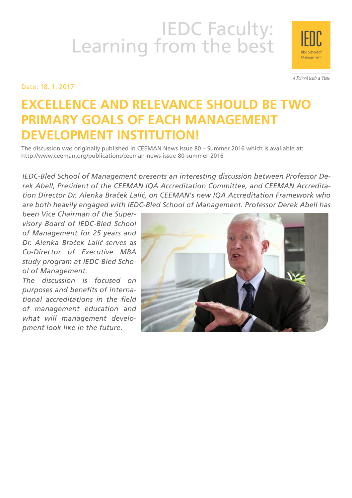# IEDC Faculty:<br>Learning from the best

Date: 18. 1. 2017

A School with a View

Management

# **Excellence and Relevance Should Be Two PRIMARY GOALS OF EACH MANAGEMENT Development Institution!**

The discussion was originally published in CEEMAN News Issue 80 – Summer 2016 which is available at: http://www.ceeman.org/publications/ceeman-news-issue-80-summer-2016

*IEDC-Bled School of Management presents an interesting discussion between Professor Derek Abell, President of the CEEMAN IQA Accreditation Committee, and CEEMAN Accreditation Director Dr. Alenka Braček Lalić, on CEEMAN's new IQA Accreditation Framework who are both heavily engaged with IEDC-Bled School of Management. Professor Derek Abell has* 

*been Vice Chairman of the Supervisory Board of IEDC-Bled School of Management for 25 years and Dr. Alenka Braček Lalić serves as Co-Director of Executive MBA study program at IEDC-Bled School of Management.* 

*The discussion is focused on purposes and benefits of international accreditations in the field of management education and what will management development look like in the future.*

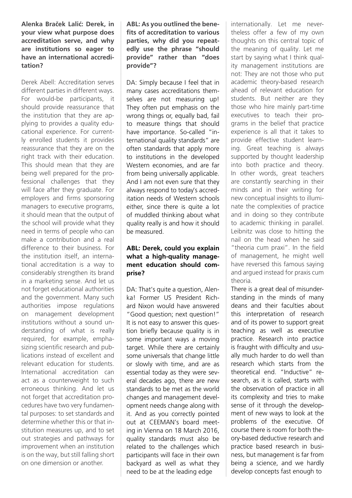### **Alenka Braček Lalić: Derek, in your view what purpose does accreditation serve, and why are institutions so eager to have an international accreditation?**

Derek Abell: Accreditation serves different parties in different ways. For would-be participants, it should provide reassurance that the institution that they are applying to provides a quality educational experience. For currently enrolled students it provides reassurance that they are on the right track with their education. This should mean that they are being well prepared for the professional challenges that they will face after they graduate. For employers and firms sponsoring managers to executive programs, it should mean that the output of the school will provide what they need in terms of people who can make a contribution and a real difference to their business. For the institution itself, an international accreditation is a way to considerably strengthen its brand in a marketing sense. And let us not forget educational authorities and the government. Many such authorities impose regulations on management development institutions without a sound understanding of what is really required, for example, emphasizing scientific research and publications instead of excellent and relevant education for students. International accreditation can act as a counterweight to such erroneous thinking. And let us not forget that accreditation procedures have two very fundamental purposes: to set standards and determine whether this or that institution measures up, and to set out strategies and pathways for improvement when an institution is on the way, but still falling short on one dimension or another.

**ABL: As you outlined the benefits of accreditation to various parties, why did you repeatedly use the phrase "should provide" rather than "does provide"?**

DA: Simply because I feel that in many cases accreditations themselves are not measuring up! They often put emphasis on the wrong things or, equally bad, fail to measure things that should have importance. So-called "international quality standards" are often standards that apply more to institutions in the developed Western economies, and are far from being universally applicable. And I am not even sure that they always respond to today's accreditation needs of Western schools either, since there is quite a lot of muddled thinking about what quality really is and how it should be measured.

# **ABL: Derek, could you explain what a high-quality management education should comprise?**

DA: That's quite a question, Alenka! Former US President Richard Nixon would have answered "Good question; next question!" It is not easy to answer this question briefly because quality is in some important ways a moving target. While there are certainly some universals that change little or slowly with time, and are as essential today as they were several decades ago, there are new standards to be met as the world changes and management development needs change along with it. And as you correctly pointed out at CEEMAN's board meeting in Vienna on 18 March 2016, quality standards must also be related to the challenges which participants will face in their own backyard as well as what they need to be at the leading edge

internationally. Let me nevertheless offer a few of my own thoughts on this central topic of the meaning of quality. Let me start by saying what I think quality management institutions are not: They are not those who put academic theory-based research ahead of relevant education for students. But neither are they those who hire mainly part-time executives to teach their programs in the belief that practice experience is all that it takes to provide effective student learning. Great teaching is always supported by thought leadership into both practice and theory. In other words, great teachers are constantly searching in their minds and in their writing for new conceptual insights to illuminate the complexities of practice and in doing so they contribute to academic thinking in parallel. Leibnitz was close to hitting the nail on the head when he said "theoria cum praxi". In the field of management, he might well have reversed this famous saying and argued instead for praxis cum theoria.

There is a great deal of misunderstanding in the minds of many deans and their faculties about this interpretation of research and of its power to support great teaching as well as executive practice. Research into practice is fraught with difficulty and usually much harder to do well than research which starts from the theoretical end. "Inductive" research, as it is called, starts with the observation of practice in all its complexity and tries to make sense of it through the development of new ways to look at the problems of the executive. Of course there is room for both theory-based deductive research and practice based research in business, but management is far from being a science, and we hardly develop concepts fast enough to